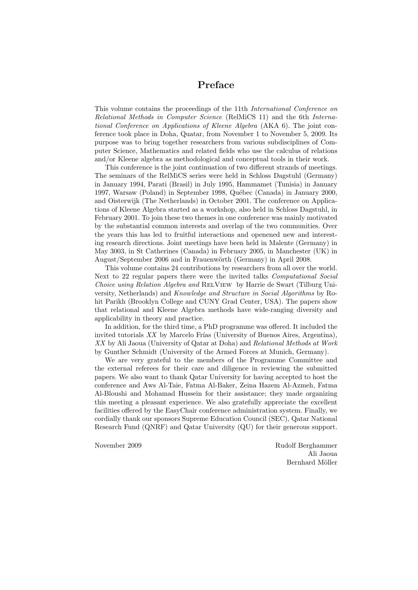## Preface

This volume contains the proceedings of the 11th International Conference on Relational Methods in Computer Science (RelMiCS 11) and the 6th International Conference on Applications of Kleene Algebra (AKA 6). The joint conference took place in Doha, Quatar, from November 1 to November 5, 2009. Its purpose was to bring together researchers from various subdisciplines of Computer Science, Mathematics and related fields who use the calculus of relations and/or Kleene algebra as methodological and conceptual tools in their work.

This conference is the joint continuation of two different strands of meetings. The seminars of the RelMiCS series were held in Schloss Dagstuhl (Germany) in January 1994, Parati (Brasil) in July 1995, Hammamet (Tunisia) in January 1997, Warsaw (Poland) in September 1998, Québec (Canada) in January 2000, and Oisterwijk (The Netherlands) in October 2001. The conference on Applications of Kleene Algebra started as a workshop, also held in Schloss Dagstuhl, in February 2001. To join these two themes in one conference was mainly motivated by the substantial common interests and overlap of the two communities. Over the years this has led to fruitful interactions and openened new and interesting research directions. Joint meetings have been held in Malente (Germany) in May 3003, in St Catherines (Canada) in February 2005, in Manchester (UK) in August/September 2006 and in Frauenwörth (Germany) in April 2008.

This volume contains 24 contributions by researchers from all over the world. Next to 22 regular papers there were the invited talks *Computational Social* Choice using Relation Algebra and RelView by Harrie de Swart (Tilburg University, Netherlands) and Knowledge and Structure in Social Algorithms by Rohit Parikh (Brooklyn College and CUNY Grad Center, USA). The papers show that relational and Kleene Algebra methods have wide-ranging diversity and applicability in theory and practice.

In addition, for the third time, a PhD programme was offered. It included the invited tutorials  $XX$  by Marcelo Frías (University of Buenos Aires, Argentina), XX by Ali Jaoua (University of Qatar at Doha) and Relational Methods at Work by Gunther Schmidt (University of the Armed Forces at Munich, Germany).

We are very grateful to the members of the Programme Committee and the external referees for their care and diligence in reviewing the submitted papers. We also want to thank Qatar University for having accepted to host the conference and Aws Al-Taie, Fatma Al-Baker, Zeina Hazem Al-Azmeh, Fatma Al-Bloushi and Mohamad Hussein for their assistance; they made organizing this meeting a pleasant experience. We also gratefully appreciate the excellent facilities offered by the EasyChair conference administration system. Finally, we cordially thank our sponsors Supreme Education Council (SEC), Qatar National Research Fund (QNRF) and Qatar University (QU) for their generous support.

November 2009 Rudolf Berghammer Ali Jaoua Bernhard Möller